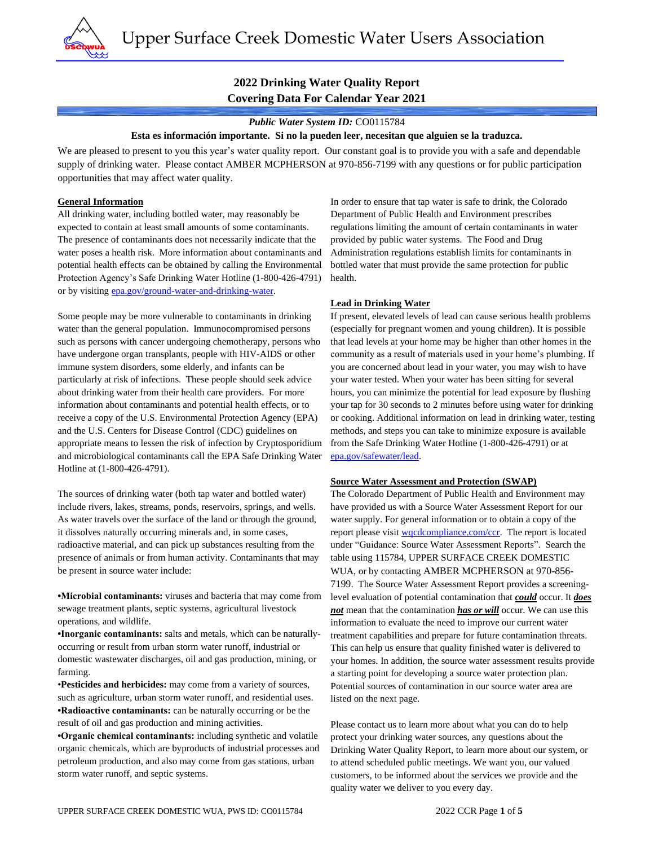

# **2022 Drinking Water Quality Report Covering Data For Calendar Year 2021**

#### *Public Water System ID:* CO0115784

#### **Esta es información importante. Si no la pueden leer, necesitan que alguien se la traduzca.**

We are pleased to present to you this year's water quality report. Our constant goal is to provide you with a safe and dependable supply of drinking water. Please contact AMBER MCPHERSON at 970-856-7199 with any questions or for public participation opportunities that may affect water quality.

#### **General Information**

All drinking water, including bottled water, may reasonably be expected to contain at least small amounts of some contaminants. The presence of contaminants does not necessarily indicate that the water poses a health risk. More information about contaminants and potential health effects can be obtained by calling the Environmental Protection Agency's Safe Drinking Water Hotline (1-800-426-4791) or by visiting [epa.gov/ground-water-and-drinking-water.](https://www.epa.gov/ground-water-and-drinking-water)

Some people may be more vulnerable to contaminants in drinking water than the general population. Immunocompromised persons such as persons with cancer undergoing chemotherapy, persons who have undergone organ transplants, people with HIV-AIDS or other immune system disorders, some elderly, and infants can be particularly at risk of infections. These people should seek advice about drinking water from their health care providers. For more information about contaminants and potential health effects, or to receive a copy of the U.S. Environmental Protection Agency (EPA) and the U.S. Centers for Disease Control (CDC) guidelines on appropriate means to lessen the risk of infection by Cryptosporidium and microbiological contaminants call the EPA Safe Drinking Water Hotline at (1-800-426-4791).

The sources of drinking water (both tap water and bottled water) include rivers, lakes, streams, ponds, reservoirs, springs, and wells. As water travels over the surface of the land or through the ground, it dissolves naturally occurring minerals and, in some cases, radioactive material, and can pick up substances resulting from the presence of animals or from human activity. Contaminants that may be present in source water include:

**•Microbial contaminants:** viruses and bacteria that may come from sewage treatment plants, septic systems, agricultural livestock operations, and wildlife.

**•Inorganic contaminants:** salts and metals, which can be naturallyoccurring or result from urban storm water runoff, industrial or domestic wastewater discharges, oil and gas production, mining, or farming.

•**Pesticides and herbicides:** may come from a variety of sources, such as agriculture, urban storm water runoff, and residential uses. **•Radioactive contaminants:** can be naturally occurring or be the result of oil and gas production and mining activities.

**•Organic chemical contaminants:** including synthetic and volatile organic chemicals, which are byproducts of industrial processes and petroleum production, and also may come from gas stations, urban storm water runoff, and septic systems.

In order to ensure that tap water is safe to drink, the Colorado Department of Public Health and Environment prescribes regulations limiting the amount of certain contaminants in water provided by public water systems. The Food and Drug Administration regulations establish limits for contaminants in bottled water that must provide the same protection for public health.

#### **Lead in Drinking Water**

If present, elevated levels of lead can cause serious health problems (especially for pregnant women and young children). It is possible that lead levels at your home may be higher than other homes in the community as a result of materials used in your home's plumbing. If you are concerned about lead in your water, you may wish to have your water tested. When your water has been sitting for several hours, you can minimize the potential for lead exposure by flushing your tap for 30 seconds to 2 minutes before using water for drinking or cooking. Additional information on lead in drinking water, testing methods, and steps you can take to minimize exposure is available from the Safe Drinking Water Hotline (1-800-426-4791) or at [epa.gov/safewater/lead.](http://www.epa.gov/safewater/lead) 

#### **Source Water Assessment and Protection (SWAP)**

The Colorado Department of Public Health and Environment may have provided us with a Source Water Assessment Report for our water supply. For general information or to obtain a copy of the report please visit [wqcdcompliance.com/ccr.](https://wqcdcompliance.com/ccr) The report is located under "Guidance: Source Water Assessment Reports". Search the table using 115784, UPPER SURFACE CREEK DOMESTIC WUA, or by contacting AMBER MCPHERSON at 970-856- 7199. The Source Water Assessment Report provides a screeninglevel evaluation of potential contamination that *could* occur. It *does not* mean that the contamination *has or will* occur. We can use this information to evaluate the need to improve our current water treatment capabilities and prepare for future contamination threats. This can help us ensure that quality finished water is delivered to your homes. In addition, the source water assessment results provide a starting point for developing a source water protection plan. Potential sources of contamination in our source water area are listed on the next page.

Please contact us to learn more about what you can do to help protect your drinking water sources, any questions about the Drinking Water Quality Report, to learn more about our system, or to attend scheduled public meetings. We want you, our valued customers, to be informed about the services we provide and the quality water we deliver to you every day.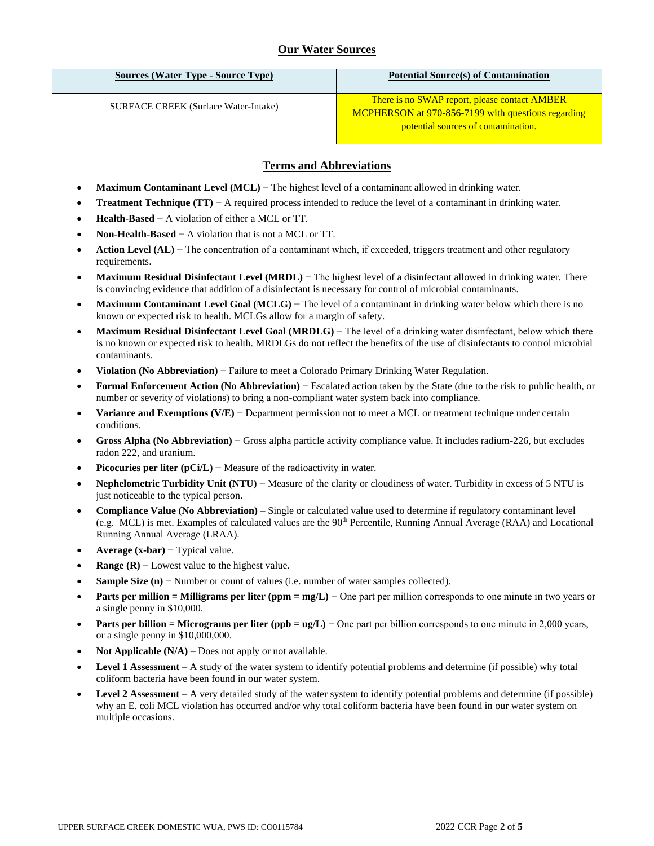# **Our Water Sources**

| Sources (Water Type - Source Type)          | <b>Potential Source(s) of Contamination</b>                                                                                                |
|---------------------------------------------|--------------------------------------------------------------------------------------------------------------------------------------------|
| <b>SURFACE CREEK</b> (Surface Water-Intake) | There is no SWAP report, please contact AMBER<br>MCPHERSON at 970-856-7199 with questions regarding<br>potential sources of contamination. |

### **Terms and Abbreviations**

- **Maximum Contaminant Level (MCL)** − The highest level of a contaminant allowed in drinking water.
- **Treatment Technique (TT)** − A required process intended to reduce the level of a contaminant in drinking water.
- **Health-Based** − A violation of either a MCL or TT.
- **Non-Health-Based** − A violation that is not a MCL or TT.
- **Action Level (AL)** − The concentration of a contaminant which, if exceeded, triggers treatment and other regulatory requirements.
- **Maximum Residual Disinfectant Level (MRDL)** − The highest level of a disinfectant allowed in drinking water. There is convincing evidence that addition of a disinfectant is necessary for control of microbial contaminants.
- **Maximum Contaminant Level Goal (MCLG)** − The level of a contaminant in drinking water below which there is no known or expected risk to health. MCLGs allow for a margin of safety.
- **Maximum Residual Disinfectant Level Goal (MRDLG)** − The level of a drinking water disinfectant, below which there is no known or expected risk to health. MRDLGs do not reflect the benefits of the use of disinfectants to control microbial contaminants.
- **Violation (No Abbreviation)** − Failure to meet a Colorado Primary Drinking Water Regulation.
- **Formal Enforcement Action (No Abbreviation)** − Escalated action taken by the State (due to the risk to public health, or number or severity of violations) to bring a non-compliant water system back into compliance.
- **Variance and Exemptions (V/E)** − Department permission not to meet a MCL or treatment technique under certain conditions.
- **Gross Alpha (No Abbreviation)** − Gross alpha particle activity compliance value. It includes radium-226, but excludes radon 222, and uranium.
- **Picocuries per liter (pCi/L)** − Measure of the radioactivity in water.
- **Nephelometric Turbidity Unit (NTU)** − Measure of the clarity or cloudiness of water. Turbidity in excess of 5 NTU is just noticeable to the typical person.
- **Compliance Value (No Abbreviation)** Single or calculated value used to determine if regulatory contaminant level (e.g. MCL) is met. Examples of calculated values are the 90th Percentile, Running Annual Average (RAA) and Locational Running Annual Average (LRAA).
- **Average (x-bar)** − Typical value.
- **Range (R)**  $-$  Lowest value to the highest value.
- **Sample Size (n)** − Number or count of values (i.e. number of water samples collected).
- **Parts per million = Milligrams per liter (ppm = mg/L)** − One part per million corresponds to one minute in two years or a single penny in \$10,000.
- **Parts per billion = Micrograms per liter (ppb = ug/L)** − One part per billion corresponds to one minute in 2,000 years, or a single penny in \$10,000,000.
- **Not Applicable (N/A)** Does not apply or not available.
- **Level 1 Assessment** A study of the water system to identify potential problems and determine (if possible) why total coliform bacteria have been found in our water system.
- **Level 2 Assessment** A very detailed study of the water system to identify potential problems and determine (if possible) why an E. coli MCL violation has occurred and/or why total coliform bacteria have been found in our water system on multiple occasions.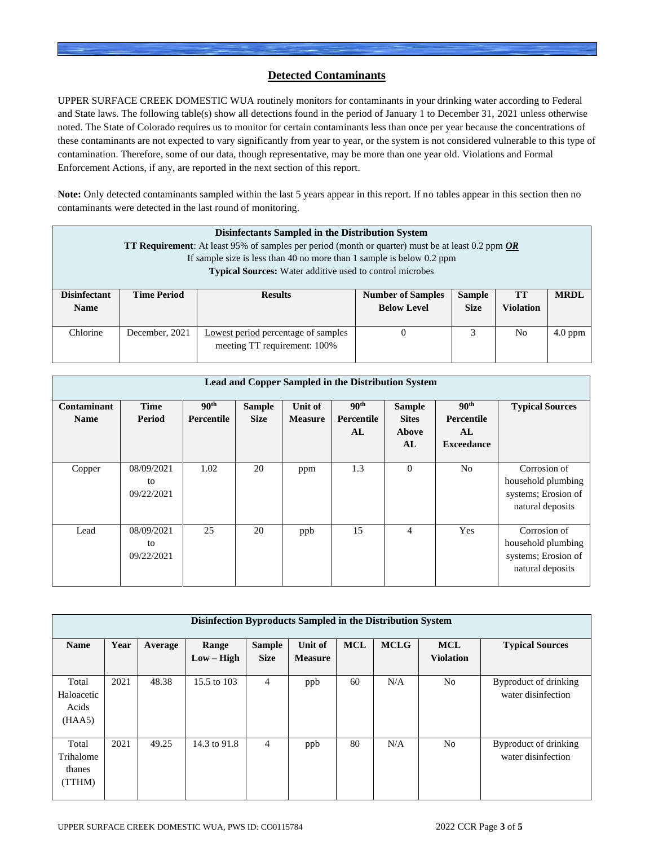### **Detected Contaminants**

UPPER SURFACE CREEK DOMESTIC WUA routinely monitors for contaminants in your drinking water according to Federal and State laws. The following table(s) show all detections found in the period of January 1 to December 31, 2021 unless otherwise noted. The State of Colorado requires us to monitor for certain contaminants less than once per year because the concentrations of these contaminants are not expected to vary significantly from year to year, or the system is not considered vulnerable to this type of contamination. Therefore, some of our data, though representative, may be more than one year old. Violations and Formal Enforcement Actions, if any, are reported in the next section of this report.

**Note:** Only detected contaminants sampled within the last 5 years appear in this report. If no tables appear in this section then no contaminants were detected in the last round of monitoring.

| Disinfectants Sampled in the Distribution System<br><b>TT Requirement:</b> At least 95% of samples per period (month or quarter) must be at least 0.2 ppm $OR$<br>If sample size is less than 40 no more than 1 sample is below 0.2 ppm<br><b>Typical Sources:</b> Water additive used to control microbes |                    |                                                                     |                                                |                              |                               |             |
|------------------------------------------------------------------------------------------------------------------------------------------------------------------------------------------------------------------------------------------------------------------------------------------------------------|--------------------|---------------------------------------------------------------------|------------------------------------------------|------------------------------|-------------------------------|-------------|
| <b>Disinfectant</b><br><b>Name</b>                                                                                                                                                                                                                                                                         | <b>Time Period</b> | <b>Results</b>                                                      | <b>Number of Samples</b><br><b>Below Level</b> | <b>Sample</b><br><b>Size</b> | <b>TT</b><br><b>Violation</b> | <b>MRDL</b> |
| Chlorine                                                                                                                                                                                                                                                                                                   | December, 2021     | Lowest period percentage of samples<br>meeting TT requirement: 100% | $\theta$                                       | 3                            | N <sub>0</sub>                | $4.0$ ppm   |

| Lead and Copper Sampled in the Distribution System |                                |                                       |                              |                           |                                      |                                              |                                                           |                                                                               |  |
|----------------------------------------------------|--------------------------------|---------------------------------------|------------------------------|---------------------------|--------------------------------------|----------------------------------------------|-----------------------------------------------------------|-------------------------------------------------------------------------------|--|
| Contaminant<br><b>Name</b>                         | <b>Time</b><br>Period          | 90 <sup>th</sup><br><b>Percentile</b> | <b>Sample</b><br><b>Size</b> | Unit of<br><b>Measure</b> | 90 <sup>th</sup><br>Percentile<br>AL | <b>Sample</b><br><b>Sites</b><br>Above<br>AL | 90 <sup>th</sup><br>Percentile<br>AL<br><b>Exceedance</b> | <b>Typical Sources</b>                                                        |  |
| Copper                                             | 08/09/2021<br>to<br>09/22/2021 | 1.02                                  | 20                           | ppm                       | 1.3                                  | $\theta$                                     | N <sub>o</sub>                                            | Corrosion of<br>household plumbing<br>systems; Erosion of<br>natural deposits |  |
| Lead                                               | 08/09/2021<br>to<br>09/22/2021 | 25                                    | 20                           | ppb                       | 15                                   | $\overline{4}$                               | Yes                                                       | Corrosion of<br>household plumbing<br>systems; Erosion of<br>natural deposits |  |

| Disinfection Byproducts Sampled in the Distribution System |      |         |                       |                              |                           |            |             |                                |                                             |
|------------------------------------------------------------|------|---------|-----------------------|------------------------------|---------------------------|------------|-------------|--------------------------------|---------------------------------------------|
| <b>Name</b>                                                | Year | Average | Range<br>$Low - High$ | <b>Sample</b><br><b>Size</b> | Unit of<br><b>Measure</b> | <b>MCL</b> | <b>MCLG</b> | <b>MCL</b><br><b>Violation</b> | <b>Typical Sources</b>                      |
| Total<br>Haloacetic<br>Acids<br>(HAA5)                     | 2021 | 48.38   | 15.5 to 103           | 4                            | ppb                       | 60         | N/A         | N <sub>0</sub>                 | Byproduct of drinking<br>water disinfection |
| Total<br>Trihalome<br>thanes<br>(TTHM)                     | 2021 | 49.25   | 14.3 to 91.8          | 4                            | ppb                       | 80         | N/A         | N <sub>o</sub>                 | Byproduct of drinking<br>water disinfection |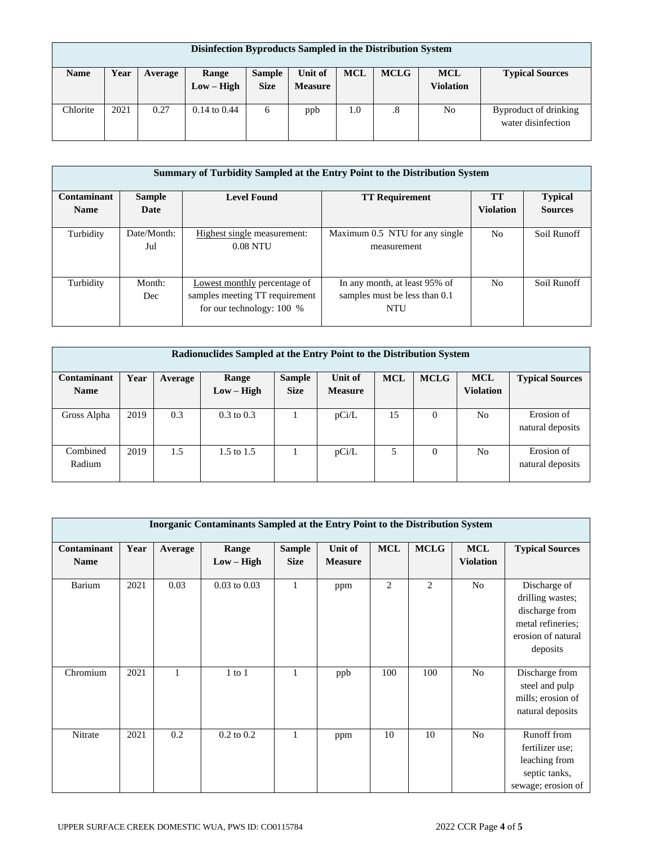| Disinfection Byproducts Sampled in the Distribution System |      |         |                       |                              |                           |            |             |                                |                                             |
|------------------------------------------------------------|------|---------|-----------------------|------------------------------|---------------------------|------------|-------------|--------------------------------|---------------------------------------------|
| <b>Name</b>                                                | Year | Average | Range<br>$Low - High$ | <b>Sample</b><br><b>Size</b> | Unit of<br><b>Measure</b> | <b>MCL</b> | <b>MCLG</b> | <b>MCL</b><br><b>Violation</b> | <b>Typical Sources</b>                      |
| Chlorite                                                   | 2021 | 0.27    | $0.14$ to $0.44$      | 6                            | ppb                       | 1.0        | .8          | No                             | Byproduct of drinking<br>water disinfection |

|             | Summary of Turbidity Sampled at the Entry Point to the Distribution System |                                                                                               |                                                                       |                  |                |  |  |  |
|-------------|----------------------------------------------------------------------------|-----------------------------------------------------------------------------------------------|-----------------------------------------------------------------------|------------------|----------------|--|--|--|
| Contaminant | <b>Level Found</b><br><b>Sample</b><br><b>TT Requirement</b>               |                                                                                               |                                                                       | <b>TT</b>        | <b>Typical</b> |  |  |  |
| <b>Name</b> | Date                                                                       |                                                                                               |                                                                       | <b>Violation</b> | <b>Sources</b> |  |  |  |
| Turbidity   | Date/Month:<br>Jul                                                         | Highest single measurement:<br>$0.08$ NTU                                                     | Maximum 0.5 NTU for any single<br>measurement                         | No.              | Soil Runoff    |  |  |  |
| Turbidity   | Month:<br>Dec                                                              | Lowest monthly percentage of<br>samples meeting TT requirement<br>for our technology: $100\%$ | In any month, at least 95% of<br>samples must be less than 0.1<br>NTU | N <sub>0</sub>   | Soil Runoff    |  |  |  |

| Radionuclides Sampled at the Entry Point to the Distribution System |      |         |                       |               |                |            |             |                  |                                |
|---------------------------------------------------------------------|------|---------|-----------------------|---------------|----------------|------------|-------------|------------------|--------------------------------|
| Contaminant                                                         | Year | Average | Range                 | <b>Sample</b> | Unit of        | <b>MCL</b> | <b>MCLG</b> | <b>MCL</b>       | <b>Typical Sources</b>         |
| <b>Name</b>                                                         |      |         | $Low - High$          | <b>Size</b>   | <b>Measure</b> |            |             | <b>Violation</b> |                                |
| Gross Alpha                                                         | 2019 | 0.3     | $0.3 \text{ to } 0.3$ |               | pCi/L          | 15         | $\Omega$    | N <sub>0</sub>   | Erosion of<br>natural deposits |
| Combined<br>Radium                                                  | 2019 | 1.5     | $1.5 \text{ to } 1.5$ |               | pCi/L          | 5          | $\Omega$    | No               | Erosion of<br>natural deposits |

|                            | <b>Inorganic Contaminants Sampled at the Entry Point to the Distribution System</b> |         |                       |                              |                           |                |                |                                |                                                                                                           |
|----------------------------|-------------------------------------------------------------------------------------|---------|-----------------------|------------------------------|---------------------------|----------------|----------------|--------------------------------|-----------------------------------------------------------------------------------------------------------|
| Contaminant<br><b>Name</b> | Year                                                                                | Average | Range<br>$Low - High$ | <b>Sample</b><br><b>Size</b> | Unit of<br><b>Measure</b> | <b>MCL</b>     | <b>MCLG</b>    | <b>MCL</b><br><b>Violation</b> | <b>Typical Sources</b>                                                                                    |
| Barium                     | 2021                                                                                | 0.03    | $0.03$ to $0.03$      | $\mathbf{1}$                 | ppm                       | $\overline{2}$ | $\overline{2}$ | N <sub>o</sub>                 | Discharge of<br>drilling wastes;<br>discharge from<br>metal refineries;<br>erosion of natural<br>deposits |
| Chromium                   | 2021                                                                                | 1       | $1$ to $1$            | 1                            | ppb                       | 100            | 100            | N <sub>o</sub>                 | Discharge from<br>steel and pulp<br>mills; erosion of<br>natural deposits                                 |
| Nitrate                    | 2021                                                                                | 0.2     | $0.2$ to $0.2$        | 1                            | ppm                       | 10             | 10             | N <sub>o</sub>                 | Runoff from<br>fertilizer use;<br>leaching from<br>septic tanks,<br>sewage; erosion of                    |